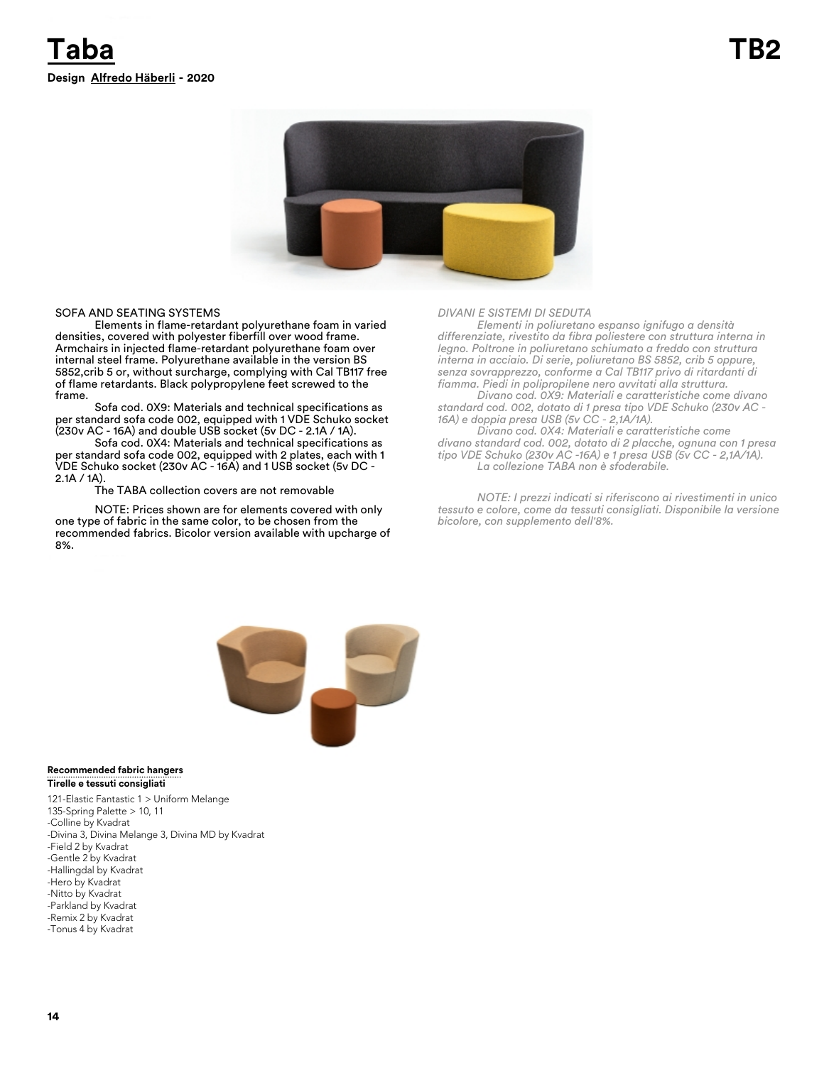

### SOFA AND SEATING SYSTEMS

Elements in flame-retardant polyurethane foam in varied densities, covered with polyester fiberfill over wood frame. Armchairs in injected flame-retardant polyurethane foam over internal steel frame. Polyurethane available in the version BS 5852,crib 5 or, without surcharge, complying with Cal TB117 free of flame retardants. Black polypropylene feet screwed to the frame.

Sofa cod. 0X9: Materials and technical specifications as per standard sofa code 002, equipped with 1 VDE Schuko socket (230v AC - 16A) and double USB socket (5v DC - 2.1A / 1A).

Sofa cod. 0X4: Materials and technical specifications as per standard sofa code 002, equipped with 2 plates, each with 1 VDE Schuko socket (230v AC - 16A) and 1 USB socket (5v DC - 2.1A / 1A).

The TABA collection covers are not removable

NOTE: Prices shown are for elements covered with only one type of fabric in the same color, to be chosen from the recommended fabrics. Bicolor version available with upcharge of 8%.

### *DIVANI E SISTEMI DI SEDUTA*

*Elementi in poliuretano espanso ignifugo a densità differenziate, rivestito da fibra poliestere con struttura interna in legno. Poltrone in poliuretano schiumato a freddo con struttura interna in acciaio. Di serie, poliuretano BS 5852, crib 5 oppure, senza sovrapprezzo, conforme a Cal TB117 privo di ritardanti di fiamma. Piedi in polipropilene nero avvitati alla struttura.* 

*Divano cod. 0X9: Materiali e caratteristiche come divano standard cod. 002, dotato di 1 presa tipo VDE Schuko (230v AC - 16A) e doppia presa USB (5v CC - 2,1A/1A).*

*Divano cod. 0X4: Materiali e caratteristiche come divano standard cod. 002, dotato di 2 placche, ognuna con 1 presa tipo VDE Schuko (230v AC -16A) e 1 presa USB (5v CC - 2,1A/1A). La collezione TABA non è sfoderabile.* 

*NOTE: I prezzi indicati si riferiscono ai rivestimenti in unico tessuto e colore, come da tessuti consigliati. Disponibile la versione bicolore, con supplemento dell'8%.* 



### **Tirelle e tessuti consigliati Recommended fabric hangers**

121-Elastic Fantastic 1 > Uniform Melange 135-Spring Palette > 10, 11 -Colline by Kvadrat -Divina 3, Divina Melange 3, Divina MD by Kvadrat -Field 2 by Kvadrat -Gentle 2 by Kvadrat -Hallingdal by Kvadrat -Hero by Kvadrat -Nitto by Kvadrat -Parkland by Kvadrat -Remix 2 by Kvadrat -Tonus 4 by Kvadrat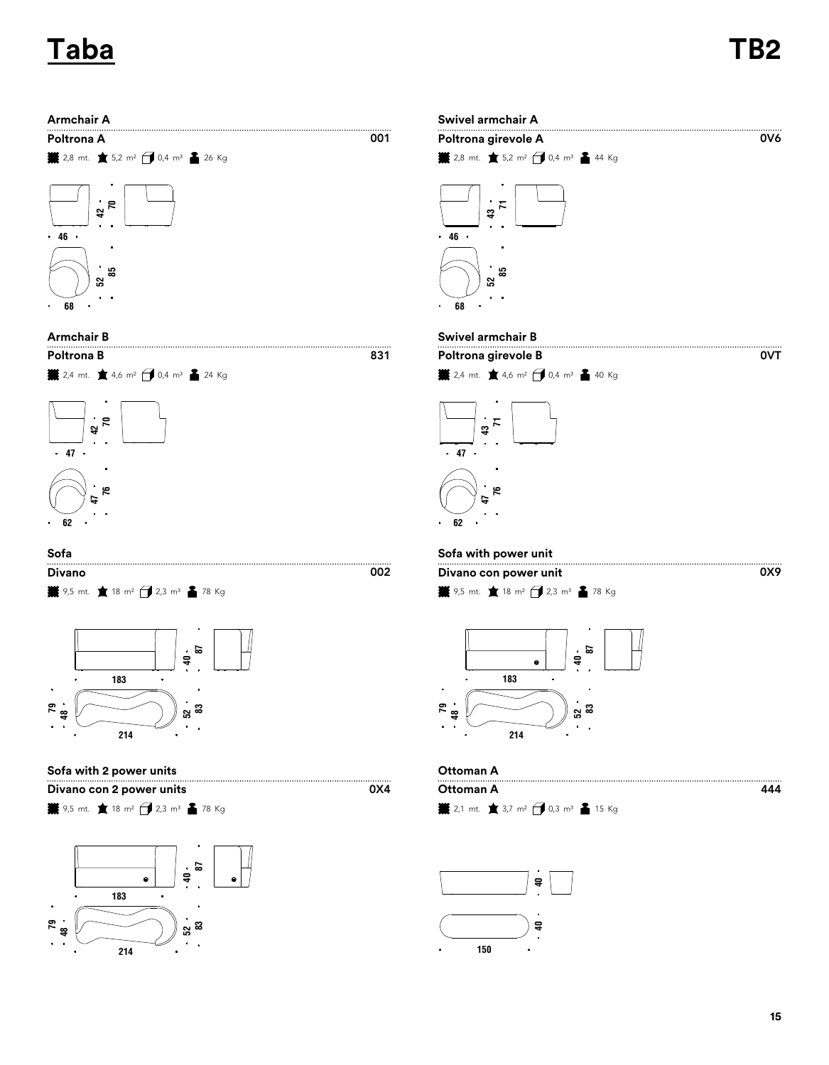# **Taba TB2**

0VT

0X9







| Sofa                                                                                                               |     | Sofa with power unit                                                   |  |
|--------------------------------------------------------------------------------------------------------------------|-----|------------------------------------------------------------------------|--|
| Divano                                                                                                             | 002 | Divano con power un                                                    |  |
| $\frac{12}{2}$ 9,5 mt. $\frac{1}{2}$ 18 m <sup>2</sup> $\left\{\frac{1}{2}$ 2,3 m <sup>3</sup> $\frac{2}{2}$ 78 Kg |     | $\frac{11}{2}$ 9,5 mt. $\frac{1}{2}$ 18 m <sup>2</sup> $\frac{1}{2}$ , |  |



## **Sofa with 2 power units Ottoman A**

**Divano con 2 power units** 

**業** 9,5 mt. ★ 18 m<sup>2</sup> → 2,3 m<sup>3</sup> ▲ 78 Kg





# **Armchair B Swivel armchair B**

 $\overline{001}$ 

 $0x4$ 





9,5 mt. **18 m<sup>2</sup>** 2,3 m<sup>3</sup> 2 78 Kg **Divano Divano con power unit**



2,1 mt. 3,7 m² 0,3 m³ 15 Kg